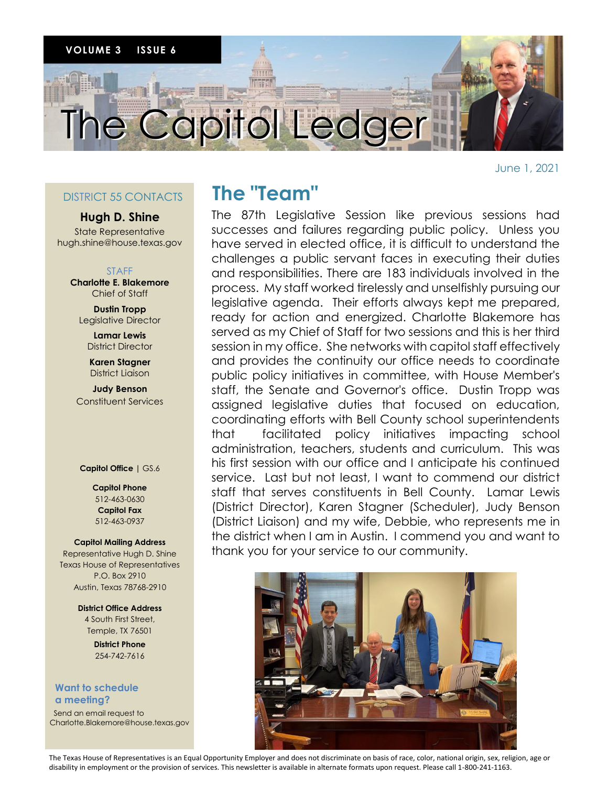

June 1, 2021

### DISTRICT 55 CONTACTS

### **Hugh D. Shine**

State Representative hugh.shine@house.texas.gov

### STAFF

**Charlotte E. Blakemore** Chief of Staff

**Dustin Tropp** Legislative Director

> **Lamar Lewis** District Director

**Karen Stagner** District Liaison

**Judy Benson** Constituent Services

#### **Capitol Office |** GS.6

**Capitol Phone** 512-463-0630 **Capitol Fax** 512-463-0937

### **Capitol Mailing Address**

Representative Hugh D. Shine Texas House of Representatives P.O. Box 2910 Austin, Texas 78768-2910

> **District Office Address** 4 South First Street, Temple, TX 76501

> > **District Phone** 254-742-7616

### **Want to schedule a meeting?**

 Send an email request to Charlotte.Blakemore@house.texas.gov

## **The "Team"**

The 87th Legislative Session like previous sessions had successes and failures regarding public policy. Unless you have served in elected office, it is difficult to understand the challenges a public servant faces in executing their duties and responsibilities. There are 183 individuals involved in the process. My staff worked tirelessly and unselfishly pursuing our legislative agenda. Their efforts always kept me prepared, ready for action and energized. Charlotte Blakemore has served as my Chief of Staff for two sessions and this is her third session in my office. She networks with capitol staff effectively and provides the continuity our office needs to coordinate public policy initiatives in committee, with House Member's staff, the Senate and Governor's office. Dustin Tropp was assigned legislative duties that focused on education, coordinating efforts with Bell County school superintendents that facilitated policy initiatives impacting school administration, teachers, students and curriculum. This was his first session with our office and I anticipate his continued service. Last but not least, I want to commend our district staff that serves constituents in Bell County. Lamar Lewis (District Director), Karen Stagner (Scheduler), Judy Benson (District Liaison) and my wife, Debbie, who represents me in the district when I am in Austin. I commend you and want to thank you for your service to our community.



The Texas House of Representatives is an Equal Opportunity Employer and does not discriminate on basis of race, color, national origin, sex, religion, age or disability in employment or the provision of services. This newsletter is available in alternate formats upon request. Please call 1-800-241-1163.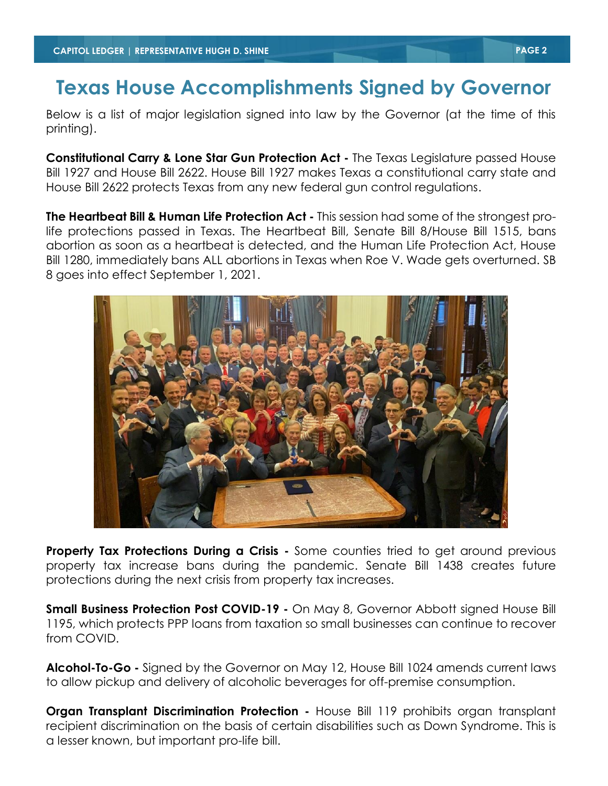## **Texas House Accomplishments Signed by Governor**

Below is a list of major legislation signed into law by the Governor (at the time of this printing).

**Constitutional Carry & Lone Star Gun Protection Act -** The Texas Legislature passed House Bill 1927 and House Bill 2622. House Bill 1927 makes Texas a constitutional carry state and House Bill 2622 protects Texas from any new federal gun control regulations.

**The Heartbeat Bill & Human Life Protection Act -** This session had some of the strongest prolife protections passed in Texas. The Heartbeat Bill, Senate Bill 8/House Bill 1515, bans abortion as soon as a heartbeat is detected, and the Human Life Protection Act, House Bill 1280, immediately bans ALL abortions in Texas when Roe V. Wade gets overturned. SB 8 goes into effect September 1, 2021.



**Property Tax Protections During a Crisis -** Some counties tried to get around previous property tax increase bans during the pandemic. Senate Bill 1438 creates future protections during the next crisis from property tax increases.

**Small Business Protection Post COVID-19 -** On May 8, Governor Abbott signed House Bill 1195, which protects PPP loans from taxation so small businesses can continue to recover from COVID.

**Alcohol-To-Go -** Signed by the Governor on May 12, House Bill 1024 amends current laws to allow pickup and delivery of alcoholic beverages for off-premise consumption.

**Organ Transplant Discrimination Protection - House Bill 119 prohibits organ transplant** recipient discrimination on the basis of certain disabilities such as Down Syndrome. This is a lesser known, but important pro-life bill.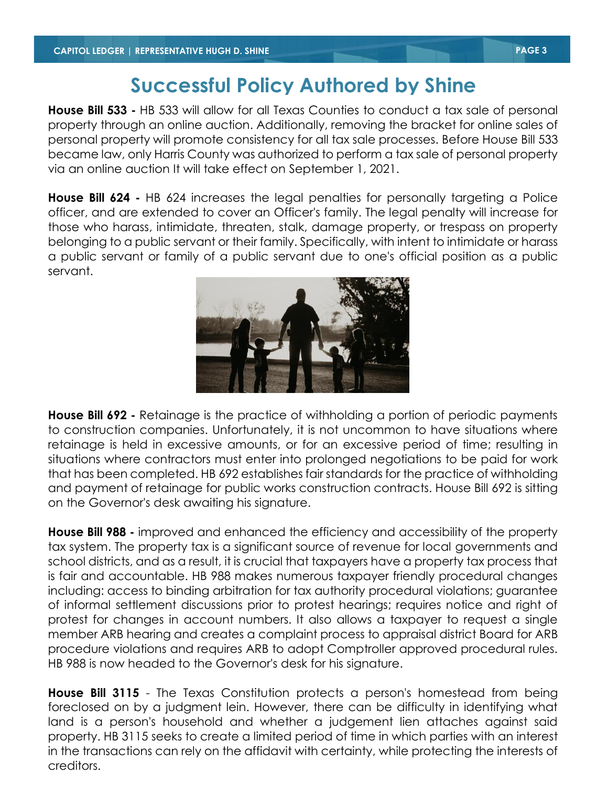# **Successful Policy Authored by Shine**

**House Bill 533 -** HB 533 will allow for all Texas Counties to conduct a tax sale of personal property through an online auction. Additionally, removing the bracket for online sales of personal property will promote consistency for all tax sale processes. Before House Bill 533 became law, only Harris County was authorized to perform a tax sale of personal property via an online auction It will take effect on September 1, 2021.

**House Bill 624 -** HB 624 increases the legal penalties for personally targeting a Police officer, and are extended to cover an Officer's family. The legal penalty will increase for those who harass, intimidate, threaten, stalk, damage property, or trespass on property belonging to a public servant or their family. Specifically, with intent to intimidate or harass a public servant or family of a public servant due to one's official position as a public servant.



**House Bill 692 -** Retainage is the practice of withholding a portion of periodic payments to construction companies. Unfortunately, it is not uncommon to have situations where retainage is held in excessive amounts, or for an excessive period of time; resulting in situations where contractors must enter into prolonged negotiations to be paid for work that has been completed. HB 692 establishes fair standards for the practice of withholding and payment of retainage for public works construction contracts. House Bill 692 is sitting on the Governor's desk awaiting his signature.

**House Bill 988 -** improved and enhanced the efficiency and accessibility of the property tax system. The property tax is a significant source of revenue for local governments and school districts, and as a result, it is crucial that taxpayers have a property tax process that is fair and accountable. HB 988 makes numerous taxpayer friendly procedural changes including: access to binding arbitration for tax authority procedural violations; guarantee of informal settlement discussions prior to protest hearings; requires notice and right of protest for changes in account numbers. It also allows a taxpayer to request a single member ARB hearing and creates a complaint process to appraisal district Board for ARB procedure violations and requires ARB to adopt Comptroller approved procedural rules. HB 988 is now headed to the Governor's desk for his signature.

**House Bill 3115** - The Texas Constitution protects a person's homestead from being foreclosed on by a judgment lein. However, there can be difficulty in identifying what land is a person's household and whether a judgement lien attaches against said property. HB 3115 seeks to create a limited period of time in which parties with an interest in the transactions can rely on the affidavit with certainty, while protecting the interests of creditors.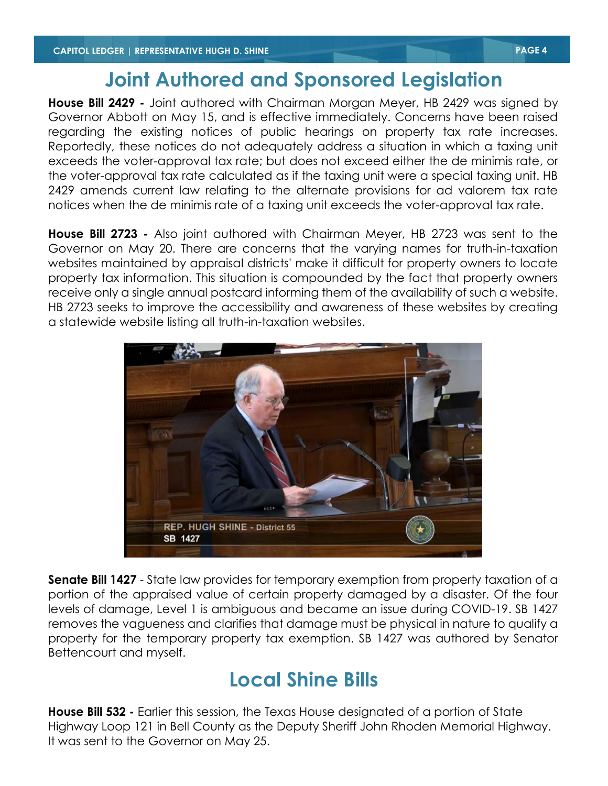## **Joint Authored and Sponsored Legislation**

**House Bill 2429 -** Joint authored with Chairman Morgan Meyer, HB 2429 was signed by Governor Abbott on May 15, and is effective immediately. Concerns have been raised regarding the existing notices of public hearings on property tax rate increases. Reportedly, these notices do not adequately address a situation in which a taxing unit exceeds the voter-approval tax rate; but does not exceed either the de minimis rate, or the voter-approval tax rate calculated as if the taxing unit were a special taxing unit. HB 2429 amends current law relating to the alternate provisions for ad valorem tax rate notices when the de minimis rate of a taxing unit exceeds the voter-approval tax rate.

**House Bill 2723 -** Also joint authored with Chairman Meyer, HB 2723 was sent to the Governor on May 20. There are concerns that the varying names for truth-in-taxation websites maintained by appraisal districts' make it difficult for property owners to locate property tax information. This situation is compounded by the fact that property owners receive only a single annual postcard informing them of the availability of such a website. HB 2723 seeks to improve the accessibility and awareness of these websites by creating a statewide website listing all truth-in-taxation websites.



**Senate Bill 1427** - State law provides for temporary exemption from property taxation of a portion of the appraised value of certain property damaged by a disaster. Of the four levels of damage, Level 1 is ambiguous and became an issue during COVID-19. SB 1427 removes the vagueness and clarifies that damage must be physical in nature to qualify a property for the temporary property tax exemption. SB 1427 was authored by Senator Bettencourt and myself.

# **Local Shine Bills**

**House Bill 532 -** Earlier this session, the Texas House designated of a portion of State Highway Loop 121 in Bell County as the Deputy Sheriff John Rhoden Memorial Highway. It was sent to the Governor on May 25.